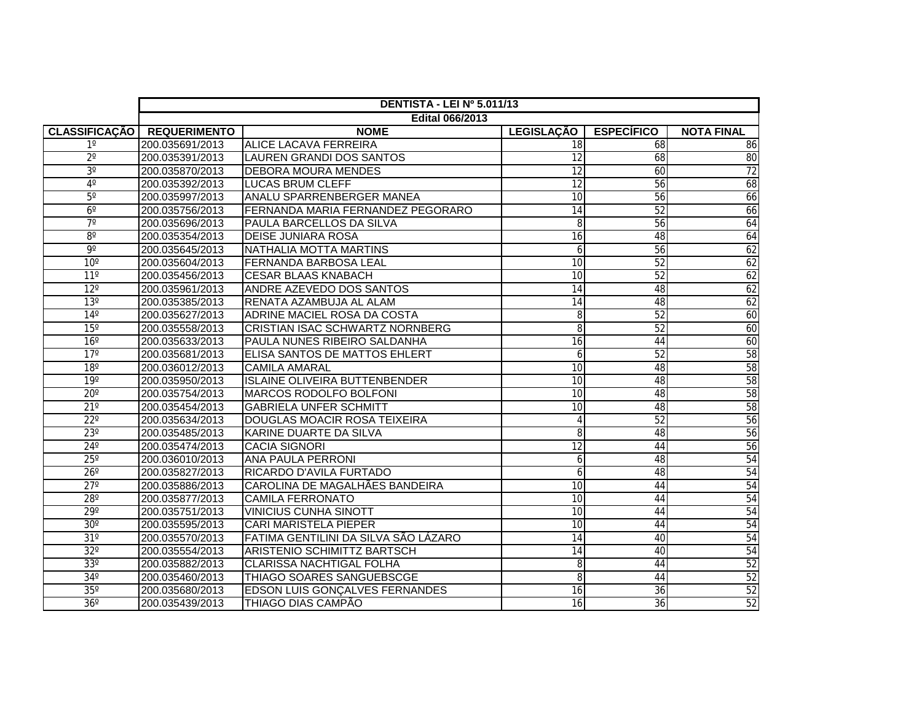|                      | DENTISTA - LEI Nº 5.011/13 |                                        |                   |                   |                   |  |
|----------------------|----------------------------|----------------------------------------|-------------------|-------------------|-------------------|--|
|                      | <b>Edital 066/2013</b>     |                                        |                   |                   |                   |  |
| <b>CLASSIFICAÇÃO</b> | <b>REQUERIMENTO</b>        | <b>NOME</b>                            | <b>LEGISLAÇÃO</b> | <b>ESPECÍFICO</b> | <b>NOTA FINAL</b> |  |
| $1^{\circ}$          | 200.035691/2013            | <b>ALICE LACAVA FERREIRA</b>           | 18                | 68                | 86                |  |
| $2^{\circ}$          | 200.035391/2013            | <b>LAUREN GRANDI DOS SANTOS</b>        | 12                | 68                | 80                |  |
| 3 <sup>o</sup>       | 200.035870/2013            | <b>DEBORA MOURA MENDES</b>             | $\overline{12}$   | 60                | 72                |  |
| $4^\circ$            | 200.035392/2013            | <b>LUCAS BRUM CLEFF</b>                | $\overline{12}$   | 56                | 68                |  |
| $5^{\circ}$          | 200.035997/2013            | ANALU SPARRENBERGER MANEA              | 10                | 56                | 66                |  |
| $6^{\circ}$          | 200.035756/2013            | FERNANDA MARIA FERNANDEZ PEGORARO      | 14                | 52                | 66                |  |
| $7^\circ$            | 200.035696/2013            | PAULA BARCELLOS DA SILVA               | 8                 | 56                | 64                |  |
| $8^{\circ}$          | 200.035354/2013            | <b>DEISE JUNIARA ROSA</b>              | 16                | 48                | 64                |  |
| 9º                   | 200.035645/2013            | NATHALIA MOTTA MARTINS                 | 6                 | 56                | 62                |  |
| 10 <sup>o</sup>      | 200.035604/2013            | <b>FERNANDA BARBOSA LEAL</b>           | 10                | 52                | 62                |  |
| $11^{\circ}$         | 200.035456/2013            | <b>CESAR BLAAS KNABACH</b>             | $\overline{10}$   | 52                | 62                |  |
| $12^{\circ}$         | 200.035961/2013            | ANDRE AZEVEDO DOS SANTOS               | 14                | 48                | 62                |  |
| 13 <sup>°</sup>      | 200.035385/2013            | RENATA AZAMBUJA AL ALAM                | 14                | 48                | 62                |  |
| $14^{\circ}$         | 200.035627/2013            | ADRINE MACIEL ROSA DA COSTA            | 8                 | 52                | 60                |  |
| 15 <sup>o</sup>      | 200.035558/2013            | <b>CRISTIAN ISAC SCHWARTZ NORNBERG</b> | 8                 | 52                | 60                |  |
| $16^{\circ}$         | 200.035633/2013            | PAULA NUNES RIBEIRO SALDANHA           | $\overline{16}$   | 44                | 60                |  |
| $17^\circ$           | 200.035681/2013            | <b>ELISA SANTOS DE MATTOS EHLERT</b>   | 6                 | 52                | 58                |  |
| $18^\circ$           | 200.036012/2013            | <b>CAMILA AMARAL</b>                   | $\overline{10}$   | 48                | 58                |  |
| 19°                  | 200.035950/2013            | <b>ISLAINE OLIVEIRA BUTTENBENDER</b>   | $\overline{10}$   | 48                | 58                |  |
| $20^\circ$           | 200.035754/2013            | MARCOS RODOLFO BOLFONI                 | $\overline{10}$   | 48                | 58                |  |
| $21^{\circ}$         | 200.035454/2013            | <b>GABRIELA UNFER SCHMITT</b>          | $\overline{10}$   | 48                | 58                |  |
| $22^{\circ}$         | 200.035634/2013            | DOUGLAS MOACIR ROSA TEIXEIRA           | 4                 | 52                | 56                |  |
| $23^\circ$           | 200.035485/2013            | KARINE DUARTE DA SILVA                 | 8                 | 48                | 56                |  |
| $24^\circ$           | 200.035474/2013            | <b>CACIA SIGNORI</b>                   | $\overline{12}$   | 44                | 56                |  |
| $25^\circ$           | 200.036010/2013            | ANA PAULA PERRONI                      | 6                 | 48                | 54                |  |
| $26^\circ$           | 200.035827/2013            | RICARDO D'AVILA FURTADO                | 6                 | 48                | 54                |  |
| $27^\circ$           | 200.035886/2013            | CAROLINA DE MAGALHÃES BANDEIRA         | 10                | 44                | 54                |  |
| $28^\circ$           | 200.035877/2013            | <b>CAMILA FERRONATO</b>                | $\overline{10}$   | 44                | 54                |  |
| $29^\circ$           | 200.035751/2013            | <b>VINICIUS CUNHA SINOTT</b>           | 10                | 44                | 54                |  |
| $30^\circ$           | 200.035595/2013            | <b>CARI MARISTELA PIEPER</b>           | 10                | 44                | 54                |  |
| $31^\circ$           | 200.035570/2013            | FATIMA GENTILINI DA SILVA SÃO LÁZARO   | 14                | 40                | 54                |  |
| $32^\circ$           | 200.035554/2013            | ARISTENIO SCHIMITTZ BARTSCH            | 14                | 40                | 54                |  |
| $33^\circ$           | 200.035882/2013            | CLARISSA NACHTIGAL FOLHA               | 8                 | 44                | 52                |  |
| $34^\circ$           | 200.035460/2013            | THIAGO SOARES SANGUEBSCGE              | 8                 | 44                | 52                |  |
| 35°                  | 200.035680/2013            | <b>EDSON LUIS GONÇALVES FERNANDES</b>  | 16                | 36                | 52                |  |
| $36^\circ$           | 200.035439/2013            | THIAGO DIAS CAMPÃO                     | 16                | 36                | 52                |  |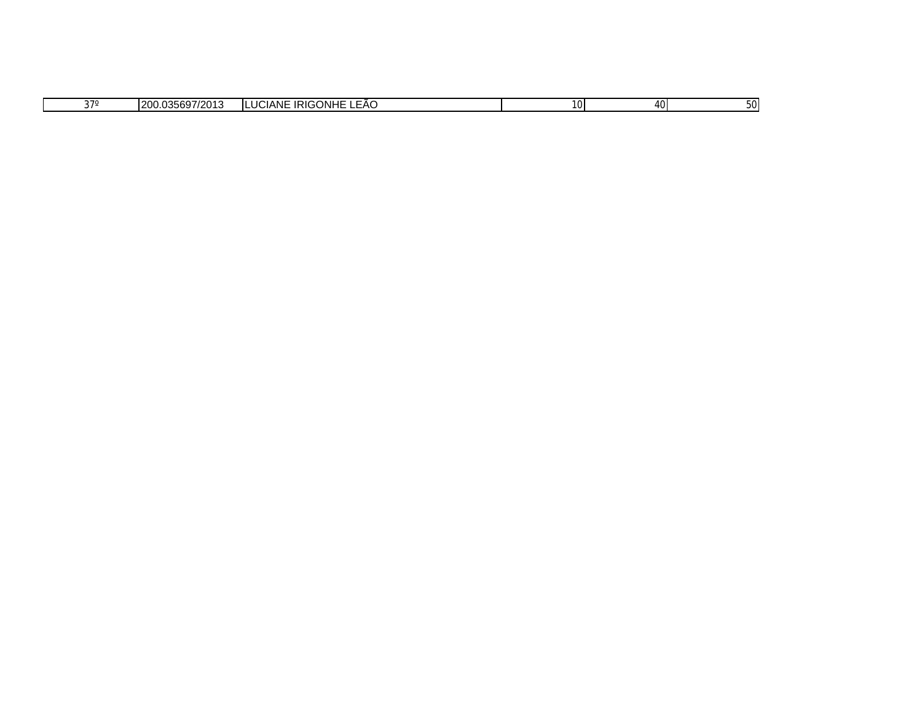|  | 270 | $\left\langle \left\langle \left\langle \right\rangle \right\rangle \right\rangle =\left\langle \left\langle \left\langle \left\langle \right\rangle \right\rangle \right\rangle \right\rangle =\left\langle \left\langle \left\langle \left\langle \right\rangle \right\rangle \right\rangle \right\rangle =\left\langle \left\langle \left\langle \left\langle \right\rangle \right\rangle \right\rangle \right\rangle =\left\langle \left\langle \left\langle \left\langle \right\rangle \right\rangle \right\rangle \right\rangle =\left\langle \left\langle \left\langle \left\langle \right\rangle \right\rangle \right\rangle \right\rangle =\left\langle \left\langle \left\langle \left\langle \left\langle \right\rangle \right\rangle \right$<br>$\sim$<br>14<br>35697<br>uu.u<br>ں ہے ہ<br>ır | <b>GONHE</b><br>. .<br>ANE<br>הוח.<br>LL<br>$\sim$<br>-AC<br>.<br>NIC<br><br>$\sim$ | 10 <sub>l</sub> | 40 <sup>1</sup> | OU. |
|--|-----|-----------------------------------------------------------------------------------------------------------------------------------------------------------------------------------------------------------------------------------------------------------------------------------------------------------------------------------------------------------------------------------------------------------------------------------------------------------------------------------------------------------------------------------------------------------------------------------------------------------------------------------------------------------------------------------------------------------------------------------------------------------------------------------------------------------|-------------------------------------------------------------------------------------|-----------------|-----------------|-----|
|--|-----|-----------------------------------------------------------------------------------------------------------------------------------------------------------------------------------------------------------------------------------------------------------------------------------------------------------------------------------------------------------------------------------------------------------------------------------------------------------------------------------------------------------------------------------------------------------------------------------------------------------------------------------------------------------------------------------------------------------------------------------------------------------------------------------------------------------|-------------------------------------------------------------------------------------|-----------------|-----------------|-----|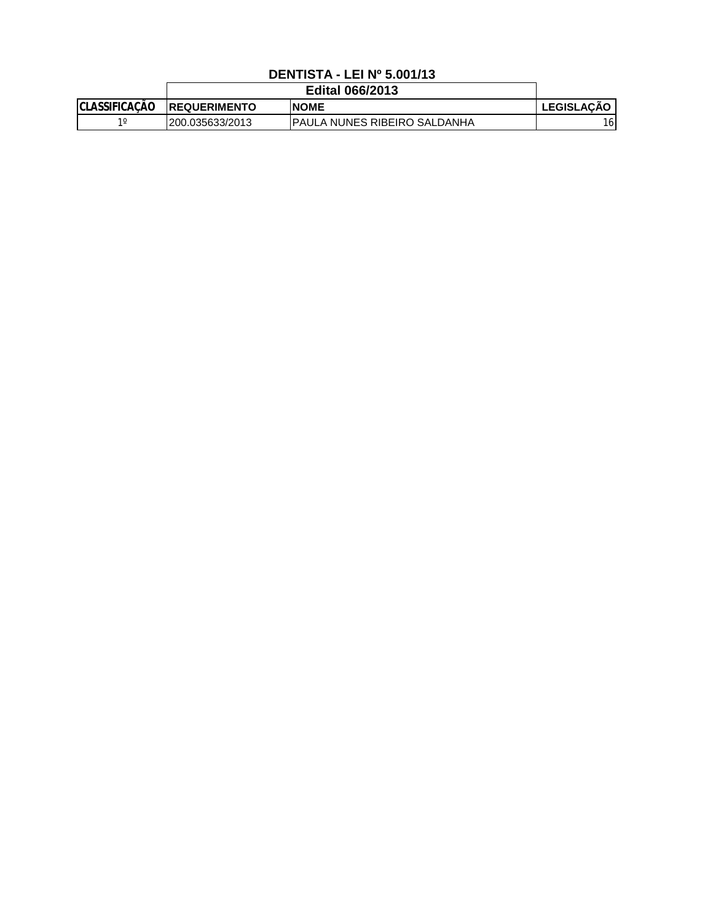## **DENTISTA - LEI Nº 5.001/13**

|                      | <b>Edital 066/2013</b> |                                      |              |
|----------------------|------------------------|--------------------------------------|--------------|
| <b>CLASSIFICAÇÃO</b> | <b>IREQUERIMENTO</b>   | <b>INOME</b>                         | I LEGISLACÃO |
| 10                   | 200.035633/2013        | <b>IPAULA NUNES RIBEIRO SALDANHA</b> | 16           |